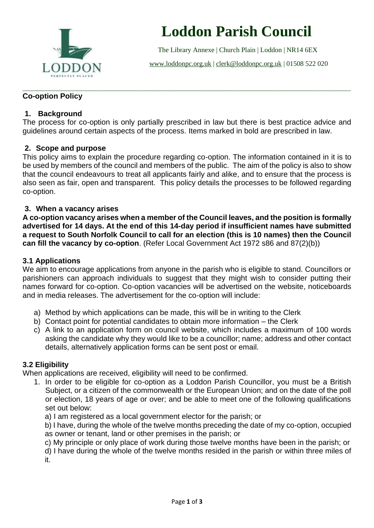

# **Loddon Parish Council**

The Library Annexe | Church Plain | Loddon | NR14 6EX

[www.loddonpc.org.uk](http://www.loddonpc.org.uk/) | [clerk@loddonpc.org.uk](mailto:clerk@loddonpc.org.uk) | 01508 522 020

#### \_\_\_\_\_\_\_\_\_\_\_\_\_\_\_\_\_\_\_\_\_\_\_\_\_\_\_\_\_\_\_\_\_\_\_\_\_\_\_\_\_\_\_\_\_\_\_\_\_\_\_\_\_\_\_\_\_\_\_\_\_\_\_\_\_\_\_\_\_\_\_\_\_\_\_\_\_\_\_\_\_\_\_\_\_\_\_\_\_\_\_\_\_\_\_\_\_\_\_\_\_\_\_\_\_\_\_\_\_\_\_\_\_\_\_\_\_\_\_\_\_\_\_\_\_\_\_\_\_\_\_\_\_\_\_\_\_\_\_\_ **Co-option Policy**

# **1. Background**

The process for co-option is only partially prescribed in law but there is best practice advice and guidelines around certain aspects of the process. Items marked in bold are prescribed in law.

# **2. Scope and purpose**

This policy aims to explain the procedure regarding co-option. The information contained in it is to be used by members of the council and members of the public. The aim of the policy is also to show that the council endeavours to treat all applicants fairly and alike, and to ensure that the process is also seen as fair, open and transparent. This policy details the processes to be followed regarding co-option.

# **3. When a vacancy arises**

**A co-option vacancy arises when a member of the Council leaves, and the position is formally advertised for 14 days. At the end of this 14-day period if insufficient names have submitted a request to South Norfolk Council to call for an election (this is 10 names) then the Council can fill the vacancy by co-option**. (Refer Local Government Act 1972 s86 and 87(2)(b))

# **3.1 Applications**

We aim to encourage applications from anyone in the parish who is eligible to stand. Councillors or parishioners can approach individuals to suggest that they might wish to consider putting their names forward for co-option. Co-option vacancies will be advertised on the website, noticeboards and in media releases. The advertisement for the co-option will include:

- a) Method by which applications can be made, this will be in writing to the Clerk
- b) Contact point for potential candidates to obtain more information the Clerk
- c) A link to an application form on council website, which includes a maximum of 100 words asking the candidate why they would like to be a councillor; name; address and other contact details, alternatively application forms can be sent post or email.

#### **3.2 Eligibility**

When applications are received, eligibility will need to be confirmed.

- 1. In order to be eligible for co-option as a Loddon Parish Councillor, you must be a British Subject, or a citizen of the commonwealth or the European Union; and on the date of the poll or election, 18 years of age or over; and be able to meet one of the following qualifications set out below:
	- a) I am registered as a local government elector for the parish; or
	- b) I have, during the whole of the twelve months preceding the date of my co-option, occupied as owner or tenant, land or other premises in the parish; or
	- c) My principle or only place of work during those twelve months have been in the parish; or

d) I have during the whole of the twelve months resided in the parish or within three miles of it.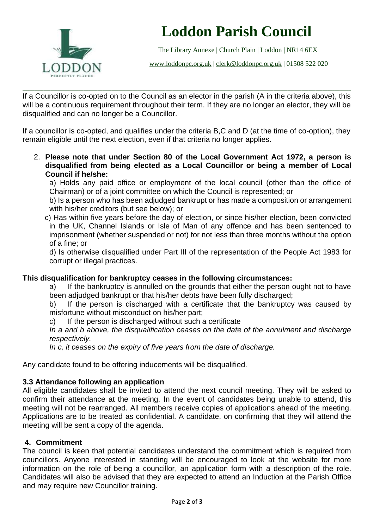

# **Loddon Parish Council**

The Library Annexe | Church Plain | Loddon | NR14 6EX

[www.loddonpc.org.uk](http://www.loddonpc.org.uk/) | [clerk@loddonpc.org.uk](mailto:clerk@loddonpc.org.uk) | 01508 522 020

If a Councillor is co-opted on to the Council as an elector in the parish (A in the criteria above), this will be a continuous requirement throughout their term. If they are no longer an elector, they will be disqualified and can no longer be a Councillor.

\_\_\_\_\_\_\_\_\_\_\_\_\_\_\_\_\_\_\_\_\_\_\_\_\_\_\_\_\_\_\_\_\_\_\_\_\_\_\_\_\_\_\_\_\_\_\_\_\_\_\_\_\_\_\_\_\_\_\_\_\_\_\_\_\_\_\_\_\_\_\_\_\_\_\_\_\_\_\_\_\_\_\_\_\_\_\_\_\_\_\_\_\_\_\_\_\_\_\_\_\_\_\_\_\_\_\_\_\_\_\_\_\_\_\_\_\_\_\_\_\_\_\_\_\_\_\_\_\_\_\_\_\_\_\_\_\_\_\_\_

If a councillor is co-opted, and qualifies under the criteria B,C and D (at the time of co-option), they remain eligible until the next election, even if that criteria no longer applies.

2. **Please note that under Section 80 of the Local Government Act 1972, a person is disqualified from being elected as a Local Councillor or being a member of Local Council if he/she:**

a) Holds any paid office or employment of the local council (other than the office of Chairman) or of a joint committee on which the Council is represented; or

b) Is a person who has been adjudged bankrupt or has made a composition or arrangement with his/her creditors (but see below); or

c) Has within five years before the day of election, or since his/her election, been convicted in the UK, Channel Islands or Isle of Man of any offence and has been sentenced to imprisonment (whether suspended or not) for not less than three months without the option of a fine; or

d) Is otherwise disqualified under Part III of the representation of the People Act 1983 for corrupt or illegal practices.

#### **This disqualification for bankruptcy ceases in the following circumstances:**

a) If the bankruptcy is annulled on the grounds that either the person ought not to have been adjudged bankrupt or that his/her debts have been fully discharged;

b) If the person is discharged with a certificate that the bankruptcy was caused by misfortune without misconduct on his/her part;

c) If the person is discharged without such a certificate

*In a and b above, the disqualification ceases on the date of the annulment and discharge respectively.*

*In c, it ceases on the expiry of five years from the date of discharge.*

Any candidate found to be offering inducements will be disqualified.

#### **3.3 Attendance following an application**

All eligible candidates shall be invited to attend the next council meeting. They will be asked to confirm their attendance at the meeting. In the event of candidates being unable to attend, this meeting will not be rearranged. All members receive copies of applications ahead of the meeting. Applications are to be treated as confidential. A candidate, on confirming that they will attend the meeting will be sent a copy of the agenda.

### **4. Commitment**

The council is keen that potential candidates understand the commitment which is required from councillors. Anyone interested in standing will be encouraged to look at the website for more information on the role of being a councillor, an application form with a description of the role. Candidates will also be advised that they are expected to attend an Induction at the Parish Office and may require new Councillor training.